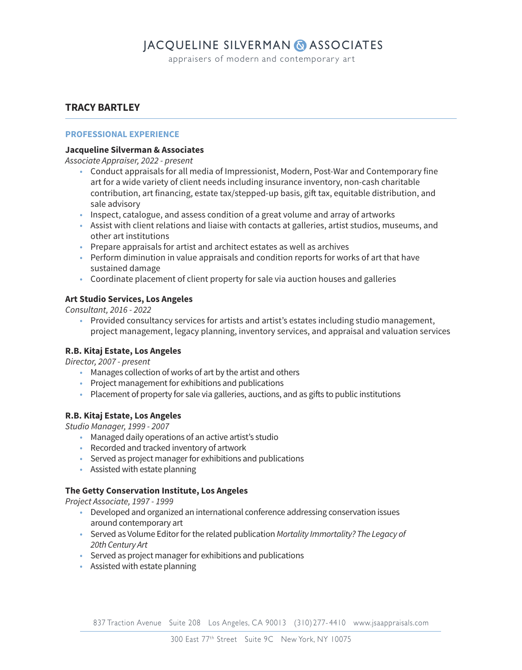## **JACQUELINE SILVERMAN & ASSOCIATES**

appraisers of modern and contemporary art

### **TRACY BARTLEY**

#### **PROFESSIONAL EXPERIENCE**

#### **Jacqueline Silverman & Associates**

Associate Appraiser, 2022 - present

- Conduct appraisals for all media of Impressionist, Modern, Post-War and Contemporary fine art for a wide variety of client needs including insurance inventory, non-cash charitable contribution, art financing, estate tax/stepped-up basis, gift tax, equitable distribution, and sale advisory
- Inspect, catalogue, and assess condition of a great volume and array of artworks
- Assist with client relations and liaise with contacts at galleries, artist studios, museums, and other art institutions
- Prepare appraisals for artist and architect estates as well as archives
- Perform diminution in value appraisals and condition reports for works of art that have sustained damage
- Coordinate placement of client property for sale via auction houses and galleries

#### **Art Studio Services, Los Angeles**

Consultant, 2016 - 2022

 • Provided consultancy services for artists and artist's estates including studio management, project management, legacy planning, inventory services, and appraisal and valuation services

#### **R.B. Kitaj Estate, Los Angeles**

Director, 2007 - present

- Manages collection of works of art by the artist and others
- Project management for exhibitions and publications
- Placement of property for sale via galleries, auctions, and as gifts to public institutions

#### **R.B. Kitaj Estate, Los Angeles**

Studio Manager, 1999 - 2007

- Managed daily operations of an active artist's studio
- Recorded and tracked inventory of artwork
- Served as project manager for exhibitions and publications
- Assisted with estate planning

#### **The Getty Conservation Institute, Los Angeles**

Project Associate, 1997 - 1999

- Developed and organized an international conference addressing conservation issues around contemporary art
- Served as Volume Editor for the related publication Mortality Immortality? The Legacy of 20th Century Art
- Served as project manager for exhibitions and publications
- Assisted with estate planning